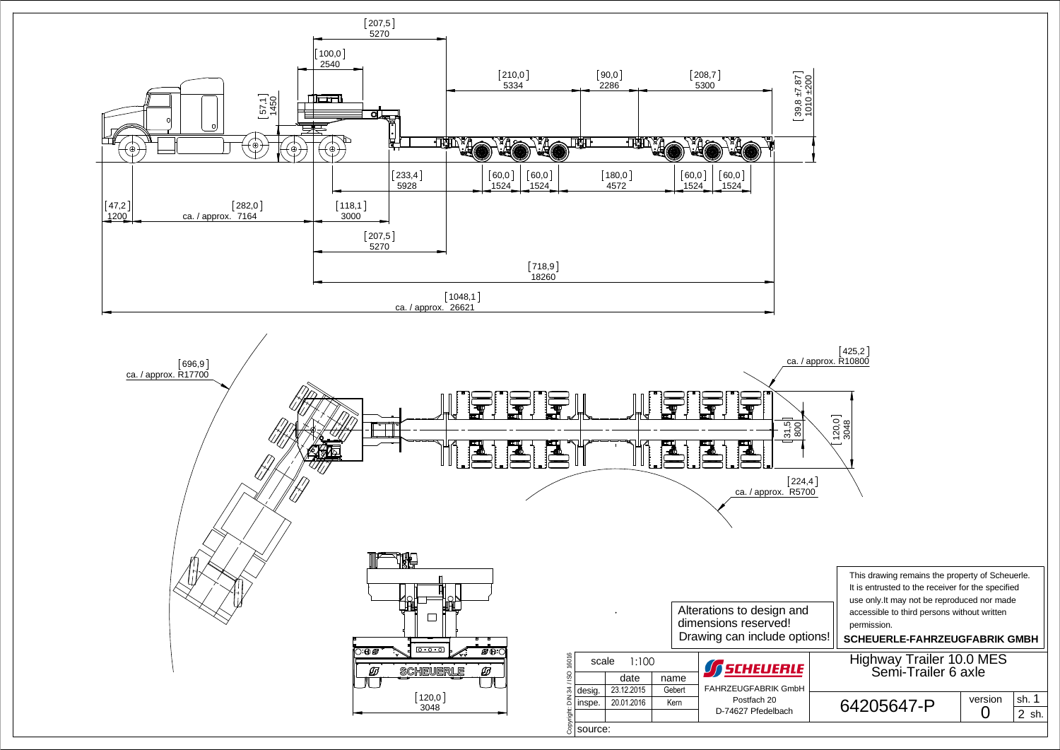